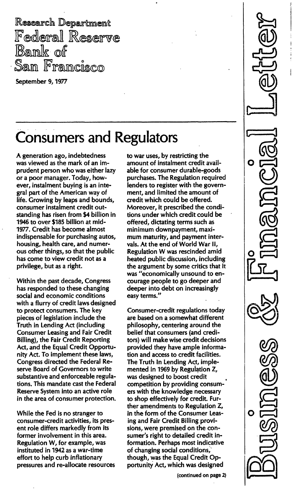Research Department Federal Reserve Bank of San Francisco

September 9, 1977

## Consumers and Regulators

A generation ago, indebtedness was viewed as the mark of an imprudent person who was either lazy or a poor manager. Today, however, instalment buying is an integral part of the American way of life. Growing by leaps and bounds, consumer instalment credit outstanding has risen from \$4 billion in 1946 to over \$185 billion at mid-1977. Credit has become almost indispensable for purchasing autos, housing, health care, and numerous other things, so that the public has come to view credit not as a privilege, but as a right.

Within the past decade, Congress has responded to these changing social and economic conditions with a flurry of credit laws designed to protect consumers. The key pieces of legislation include the Truth in Lending Act (including Consumer Leasing and Fair Credit Billing), the Fair Credit Reporting Act, and the Equal Credit Opportunity Act. To implement these laws, Congress directed the Federal Reserve Board of Governors to write substantive and enforceable regulations. This mandate cast the Federal Reserve System into an active role in the area of consumer protection.

While the Fed is no stranger to consumer-credit activities, its present role differs markedly from its former involvement in this area. Regulation W, for example, was instituted in 1942 as a war-time effort to help curb inflationary pressures and re-allocate resources to war uses, by restricting the amount of instalment credit available for consumer durable-goods purchases. The Regulation required lenders to register with the government, and limited the amount of credit which could be offered. Moreover, it prescribed the conditions under which credit could be offered, dictating terms such as minimum downpayment, maximum maturity, and payment intervals. At the end of World War II, Regulation W was rescinded amid heated public discussion, including the argument by some critics that it was "economically unsound to encourage people to go deeper and deeper into debt on increasingly easy terms."

Consumer-credit regulations today are based on a somewhat different philosophy, centering around the belief that consumers (and creditors) will make wise credit decisions provided they have ample information and access to credit facilities. The Truth In Lending Act, implemented in 1969 by Regulation Z, was designed to boost credit competition by providing consumers with the knowledge necessary to shop effectively for credit. Further amendments to Regulation Z, in the form of the Consumer Leasing and Fair Credit Billing provisions, were premised on the consumer's right to detailed credit information. Perhaps most indicative of changing social conditions, though, was the Equal Credit Opportunity Act, which was designed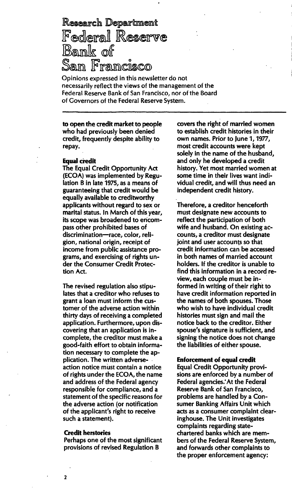# **Research Department** Federal Reserve<br>Bank of San Francisco

Opinions expressed in this newsletter do not necessarily reflect the views of the management of the Federal Reserve Bank of San Francisco, nor of the Board of Governors of the Federal Reserve System.

to open the credit market to people who had previously been denied credit, frequently despite ability to repay.

#### **Equal credit**

The Equal Credit Opportunity Act (ECOA) was implemented by Regulation B in late 1975, as a means of guaranteeing that credit would be equally available to creditworthy applicants without regard to sex or marital status. In March of this year, its scope was broadened to encompass other prohibited bases of discrimination-race, color, religion, national origin, receipt of income from public assistance programs, and exercising of rights under the Consumer Credit Protection Act.

The revised regulation also stipulates that a creditor who refuses to grant a loan must inform the customer of the adverse action within thirty days of receiving a completed application. Furthermore, upon discovering that an application is incomplete, the creditor must make a good-faith effort to obtain information necessary to complete the application. The written adverseaction notice must contain a notice of rights under the ECOA, the name and address of the Federal agency responsible for compliance, and a statement of the specific reasons for the adverse action (or notification of the applicant's right to receive such a statement).

#### Credit herstories

Perhaps one of the most significant provisions of revised Regulation B

covers the right of married women to establish credit histories in their own names. Prior to June 1, 1977, most credit accounts were kept solely in the name of the husband, and only he developed a credit history. Yet most married women at some time in their lives want individual credit, and will thus need an independent credit history.

Therefore, a creditor henceforth must designate new accounts to reflect the participation of both wife and husband. On existing accounts, a creditor must designate joint and user accounts so that credit information can be accessed in both names of married account holders. If the creditor is unable to find this information in a record review, each couple must be informed in writing of their right to have credit information reported in the names'of both spouses. Those who wish to have individual credit histories must sign and mail the notice back to the creditor. Either spouse's signature is sufficient, and signing the notice does not change the liabilities of either spouse.

#### Enforcement of equal credit

Equal Credit Opportunity provisions are enforced by a number of Federal agencies: At the Federal Reserve Bank of San Francisco, problems are handled by a Consumer Banking Affairs Unit which acts as a consumer complaint clearinghouse. The Unit investigates complaints regarding statechartered banks which are members of the Federal Reserve System, and forwards other complaints to the proper enforcement agency: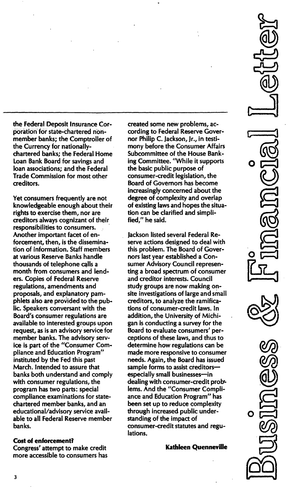the Federal Deposit Insurance Corporation for state-chartered nonmember banks; the Comptroller of the Currency for nationallychartered banks; the Federal Home Loan Bank Board for savings and loan associations; and the Federal Trade Commission for most other creditors.

Yet consumers frequently are not knowledgeable enough about their rights to exercise them, nor are creditors always cognizant of their responsibilities to consumers. Another important facet of enforcement, then, is the dissemination of information. Staff members at various Reserve Banks handle thousands of telephone calls a month from consumers and lenders. Copies of Federal Reserve regulations, amendments and proposals, and explanatory pamphlets also are provided to the public. Speakers conversant with the Board's consumer regulations are available to interested groups upon request, as is an advisory service for member banks. The advisory service is part of the "Consumer Compliance and Education Program" instituted by the Fed this past March. Intended to assure that banks both understand and comply with consumer regulations, the program has two parts: special compliance examinations for statechartered member banks, and an educational/advisory service available to all Federal Reserve member banks.

### Cost of enforcement?

Congress' attempt to make credit more accessible to consumers has created some new problems, according to Federal Reserve Governor Philip C. Jackson, Jr., in testimony before the Consumer Affairs Subcommittee of the House Banking Committee. "While it supports the basic public purpose of consumer-credit legislation, the Board of Governors has become increasingly concerned about the degree of complexity and overlap of existing laws and hopes the situation can be clarified and simplified/' he said.

Jackson listed several Federal Reserve actions designed to deal with this problem. The Board of Governors last year established a Consumer Advisory Council representing a broad spectrum of consumer and creditor interests. Council study groups are now making onsite investigations of large and small creditors, to analyze the ramifications of consumer-credit laws. In addition, the University of Michigan is conducting a survey for the Board to evaluate consumers' perceptions of these laws, and thus to determine how regulations can be made more responsive to consumer needs. Again, the Board has issued sample forms to assist creditorsespecially small businesses-in dealing with consumer-credit lems. And the "Consumer Compliance and Education Program" has been set up to reduce complexity through increased public understanding of the impact of consumer-credit statutes and regulations.

Kathleen Quenneville